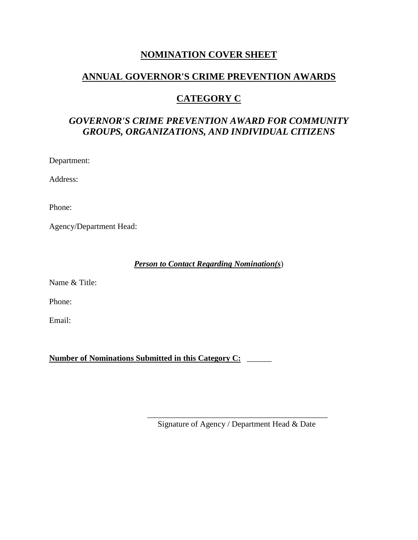## **NOMINATION COVER SHEET**

## **ANNUAL GOVERNOR'S CRIME PREVENTION AWARDS**

# **CATEGORY C**

# *GOVERNOR'S CRIME PREVENTION AWARD FOR COMMUNITY GROUPS, ORGANIZATIONS, AND INDIVIDUAL CITIZENS*

Department:

Address:

Phone:

Agency/Department Head:

*Person to Contact Regarding Nomination(s*)

Name & Title:

Phone:

Email:

**Number of Nominations Submitted in this Category C:** \_\_\_\_\_\_

\_\_\_\_\_\_\_\_\_\_\_\_\_\_\_\_\_\_\_\_\_\_\_\_\_\_\_\_\_\_\_\_\_\_\_\_\_\_\_\_\_\_\_\_ Signature of Agency / Department Head & Date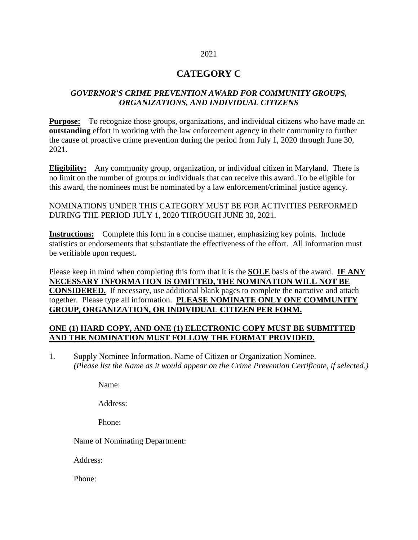#### 2021

### **CATEGORY C**

#### *GOVERNOR'S CRIME PREVENTION AWARD FOR COMMUNITY GROUPS, ORGANIZATIONS, AND INDIVIDUAL CITIZENS*

**Purpose:** To recognize those groups, organizations, and individual citizens who have made an **outstanding** effort in working with the law enforcement agency in their community to further the cause of proactive crime prevention during the period from July 1, 2020 through June 30, 2021.

**Eligibility:** Any community group, organization, or individual citizen in Maryland. There is no limit on the number of groups or individuals that can receive this award. To be eligible for this award, the nominees must be nominated by a law enforcement/criminal justice agency.

NOMINATIONS UNDER THIS CATEGORY MUST BE FOR ACTIVITIES PERFORMED DURING THE PERIOD JULY 1, 2020 THROUGH JUNE 30, 2021.

**Instructions:** Complete this form in a concise manner, emphasizing key points. Include statistics or endorsements that substantiate the effectiveness of the effort. All information must be verifiable upon request.

Please keep in mind when completing this form that it is the **SOLE** basis of the award. **IF ANY NECESSARY INFORMATION IS OMITTED, THE NOMINATION WILL NOT BE CONSIDERED.** If necessary, use additional blank pages to complete the narrative and attach together. Please type all information. **PLEASE NOMINATE ONLY ONE COMMUNITY GROUP, ORGANIZATION, OR INDIVIDUAL CITIZEN PER FORM.**

#### **ONE (1) HARD COPY, AND ONE (1) ELECTRONIC COPY MUST BE SUBMITTED AND THE NOMINATION MUST FOLLOW THE FORMAT PROVIDED.**

1. Supply Nominee Information. Name of Citizen or Organization Nominee. *(Please list the Name as it would appear on the Crime Prevention Certificate, if selected.)*

Name:

Address:

Phone:

Name of Nominating Department:

Address:

Phone: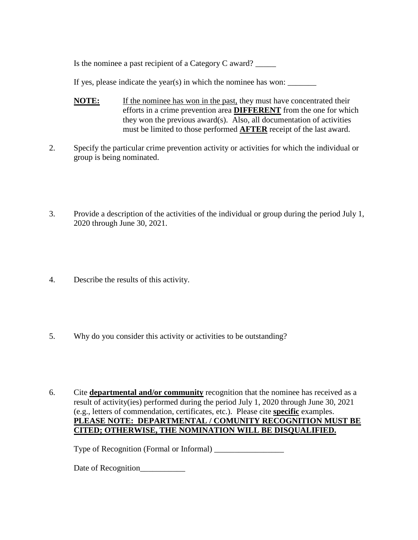Is the nominee a past recipient of a Category C award? \_\_\_\_\_

If yes, please indicate the year(s) in which the nominee has won:  $\frac{1}{\sqrt{1-\frac{1}{\sqrt{1-\frac{1}{\sqrt{1-\frac{1}{\sqrt{1-\frac{1}{\sqrt{1-\frac{1}{\sqrt{1-\frac{1}{\sqrt{1-\frac{1}{\sqrt{1-\frac{1}{\sqrt{1-\frac{1}{\sqrt{1-\frac{1}{\sqrt{1-\frac{1}{\sqrt{1-\frac{1}{\sqrt{1-\frac{1}{\sqrt{1-\frac{1}{\sqrt{1-\frac{1}{\sqrt{1-\frac{1}{\sqrt{1-\$ 

- **NOTE:** If the nominee has won in the past, they must have concentrated their efforts in a crime prevention area **DIFFERENT** from the one for which they won the previous award(s). Also, all documentation of activities must be limited to those performed **AFTER** receipt of the last award.
- 2. Specify the particular crime prevention activity or activities for which the individual or group is being nominated.
- 3. Provide a description of the activities of the individual or group during the period July 1, 2020 through June 30, 2021.
- 4. Describe the results of this activity.
- 5. Why do you consider this activity or activities to be outstanding?
- 6. Cite **departmental and/or community** recognition that the nominee has received as a result of activity(ies) performed during the period July 1, 2020 through June 30, 2021 (e.g., letters of commendation, certificates, etc.). Please cite **specific** examples. **PLEASE NOTE: DEPARTMENTAL / COMUNITY RECOGNITION MUST BE CITED; OTHERWISE, THE NOMINATION WILL BE DISQUALIFIED.**

Type of Recognition (Formal or Informal) \_\_\_\_\_\_\_\_\_\_\_\_\_\_\_\_\_

Date of Recognition\_\_\_\_\_\_\_\_\_\_\_